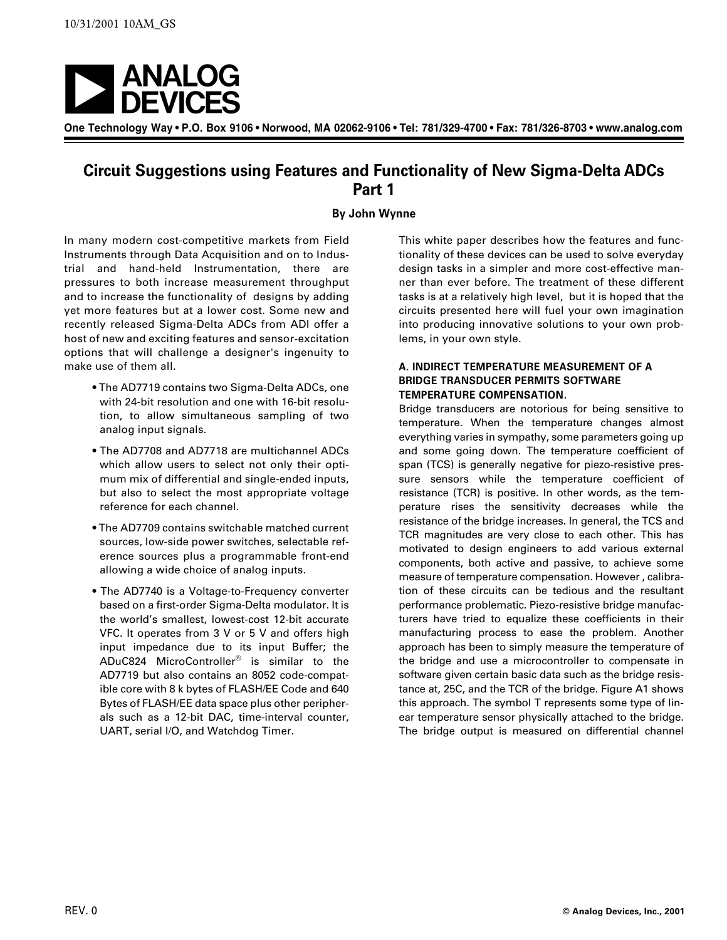

**One Technology Way • P.O. Box 9106 • Norwood, MA 02062-9106 • Tel: 781/329-4700 • Fax: 781/326-8703 • www.analog.com**

# **Circuit Suggestions using Features and Functionality of New Sigma-Delta ADCs Part 1**

# **By John Wynne**

In many modern cost-competitive markets from Field Instruments through Data Acquisition and on to Industrial and hand-held Instrumentation, there are pressures to both increase measurement throughput and to increase the functionality of designs by adding yet more features but at a lower cost. Some new and recently released Sigma-Delta ADCs from ADI offer a host of new and exciting features and sensor-excitation options that will challenge a designer's ingenuity to make use of them all.

- The AD7719 contains two Sigma-Delta ADCs, one with 24-bit resolution and one with 16-bit resolution, to allow simultaneous sampling of two analog input signals.
- The AD7708 and AD7718 are multichannel ADCs which allow users to select not only their optimum mix of differential and single-ended inputs, but also to select the most appropriate voltage reference for each channel.
- The AD7709 contains switchable matched current sources, low-side power switches, selectable reference sources plus a programmable front-end allowing a wide choice of analog inputs.
- The AD7740 is a Voltage-to-Frequency converter based on a first-order Sigma-Delta modulator. It is the world's smallest, lowest-cost 12-bit accurate VFC. It operates from 3 V or 5 V and offers high input impedance due to its input Buffer; the ADuC824 MicroController® is similar to the AD7719 but also contains an 8052 code-compatible core with 8 k bytes of FLASH/EE Code and 640 Bytes of FLASH/EE data space plus other peripherals such as a 12-bit DAC, time-interval counter, UART, serial I/O, and Watchdog Timer.

This white paper describes how the features and functionality of these devices can be used to solve everyday design tasks in a simpler and more cost-effective manner than ever before. The treatment of these different tasks is at a relatively high level, but it is hoped that the circuits presented here will fuel your own imagination into producing innovative solutions to your own problems, in your own style.

## **A. INDIRECT TEMPERATURE MEASUREMENT OF A BRIDGE TRANSDUCER PERMITS SOFTWARE TEMPERATURE COMPENSATION.**

Bridge transducers are notorious for being sensitive to temperature. When the temperature changes almost everything varies in sympathy, some parameters going up and some going down. The temperature coefficient of span (TCS) is generally negative for piezo-resistive pressure sensors while the temperature coefficient of resistance (TCR) is positive. In other words, as the temperature rises the sensitivity decreases while the resistance of the bridge increases. In general, the TCS and TCR magnitudes are very close to each other. This has motivated to design engineers to add various external components, both active and passive, to achieve some measure of temperature compensation. However , calibration of these circuits can be tedious and the resultant performance problematic. Piezo-resistive bridge manufacturers have tried to equalize these coefficients in their manufacturing process to ease the problem. Another approach has been to simply measure the temperature of the bridge and use a microcontroller to compensate in software given certain basic data such as the bridge resistance at, 25C, and the TCR of the bridge. Figure A1 shows this approach. The symbol T represents some type of linear temperature sensor physically attached to the bridge. The bridge output is measured on differential channel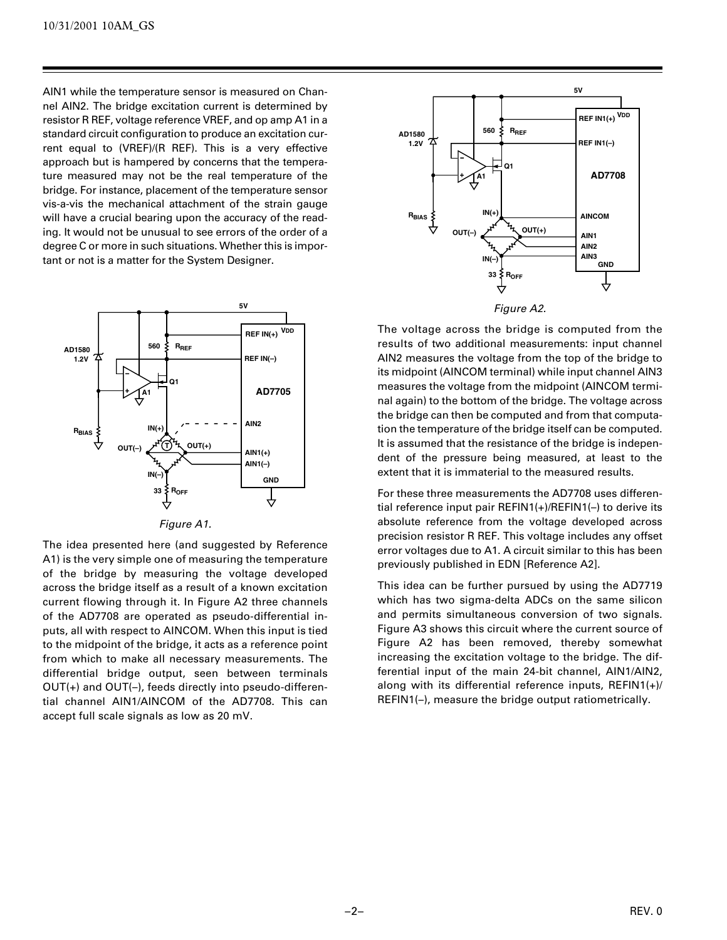AIN1 while the temperature sensor is measured on Channel AIN2. The bridge excitation current is determined by resistor R REF, voltage reference VREF, and op amp A1 in a standard circuit configuration to produce an excitation current equal to (VREF)/(R REF). This is a very effective approach but is hampered by concerns that the temperature measured may not be the real temperature of the bridge. For instance, placement of the temperature sensor vis-a-vis the mechanical attachment of the strain gauge will have a crucial bearing upon the accuracy of the reading. It would not be unusual to see errors of the order of a degree C or more in such situations. Whether this is important or not is a matter for the System Designer.



The idea presented here (and suggested by Reference A1) is the very simple one of measuring the temperature of the bridge by measuring the voltage developed across the bridge itself as a result of a known excitation current flowing through it. In Figure A2 three channels of the AD7708 are operated as pseudo-differential inputs, all with respect to AINCOM. When this input is tied to the midpoint of the bridge, it acts as a reference point from which to make all necessary measurements. The differential bridge output, seen between terminals OUT(+) and OUT(–), feeds directly into pseudo-differential channel AIN1/AINCOM of the AD7708. This can accept full scale signals as low as 20 mV.



The voltage across the bridge is computed from the results of two additional measurements: input channel AIN2 measures the voltage from the top of the bridge to its midpoint (AINCOM terminal) while input channel AIN3 measures the voltage from the midpoint (AINCOM terminal again) to the bottom of the bridge. The voltage across the bridge can then be computed and from that computation the temperature of the bridge itself can be computed. It is assumed that the resistance of the bridge is independent of the pressure being measured, at least to the extent that it is immaterial to the measured results.

For these three measurements the AD7708 uses differential reference input pair REFIN1(+)/REFIN1(–) to derive its absolute reference from the voltage developed across precision resistor R REF. This voltage includes any offset error voltages due to A1. A circuit similar to this has been previously published in EDN [Reference A2].

This idea can be further pursued by using the AD7719 which has two sigma-delta ADCs on the same silicon and permits simultaneous conversion of two signals. Figure A3 shows this circuit where the current source of Figure A2 has been removed, thereby somewhat increasing the excitation voltage to the bridge. The differential input of the main 24-bit channel, AIN1/AIN2, along with its differential reference inputs, REFIN1(+)/ REFIN1(–), measure the bridge output ratiometrically.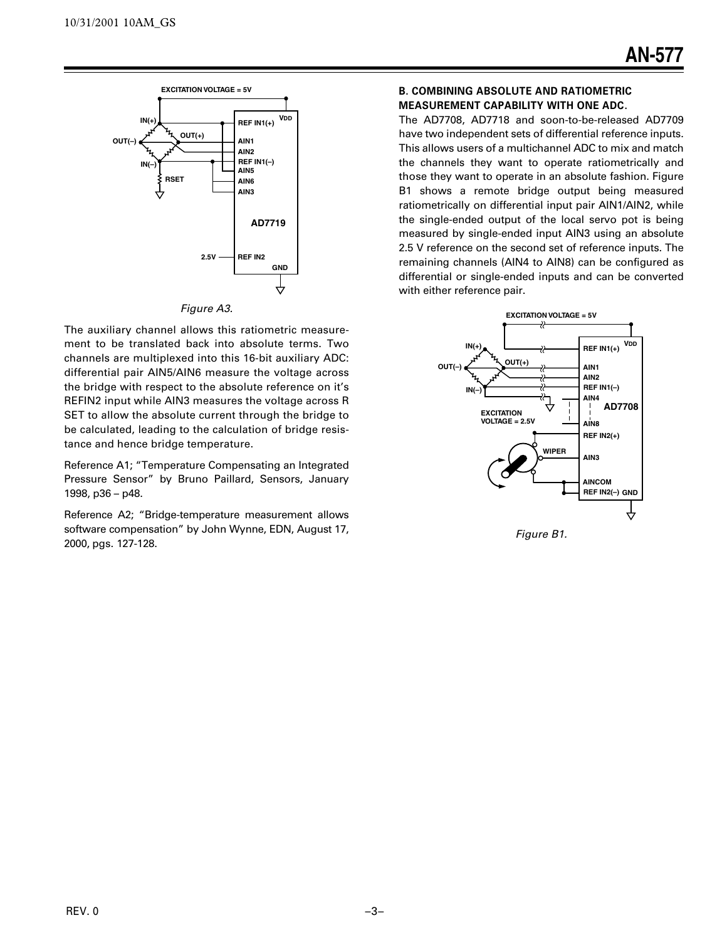

#### Figure A3.

The auxiliary channel allows this ratiometric measurement to be translated back into absolute terms. Two channels are multiplexed into this 16-bit auxiliary ADC: differential pair AIN5/AIN6 measure the voltage across the bridge with respect to the absolute reference on it's REFIN2 input while AIN3 measures the voltage across R SET to allow the absolute current through the bridge to be calculated, leading to the calculation of bridge resistance and hence bridge temperature.

Reference A1; "Temperature Compensating an Integrated Pressure Sensor" by Bruno Paillard, Sensors, January 1998, p36 – p48.

Reference A2; "Bridge-temperature measurement allows software compensation" by John Wynne, EDN, August 17, 2000, pgs. 127-128.

## **B. COMBINING ABSOLUTE AND RATIOMETRIC MEASUREMENT CAPABILITY WITH ONE ADC.**

The AD7708, AD7718 and soon-to-be-released AD7709 have two independent sets of differential reference inputs. This allows users of a multichannel ADC to mix and match the channels they want to operate ratiometrically and those they want to operate in an absolute fashion. Figure B1 shows a remote bridge output being measured ratiometrically on differential input pair AIN1/AIN2, while the single-ended output of the local servo pot is being measured by single-ended input AIN3 using an absolute 2.5 V reference on the second set of reference inputs. The remaining channels (AIN4 to AIN8) can be configured as differential or single-ended inputs and can be converted with either reference pair.



Figure B1.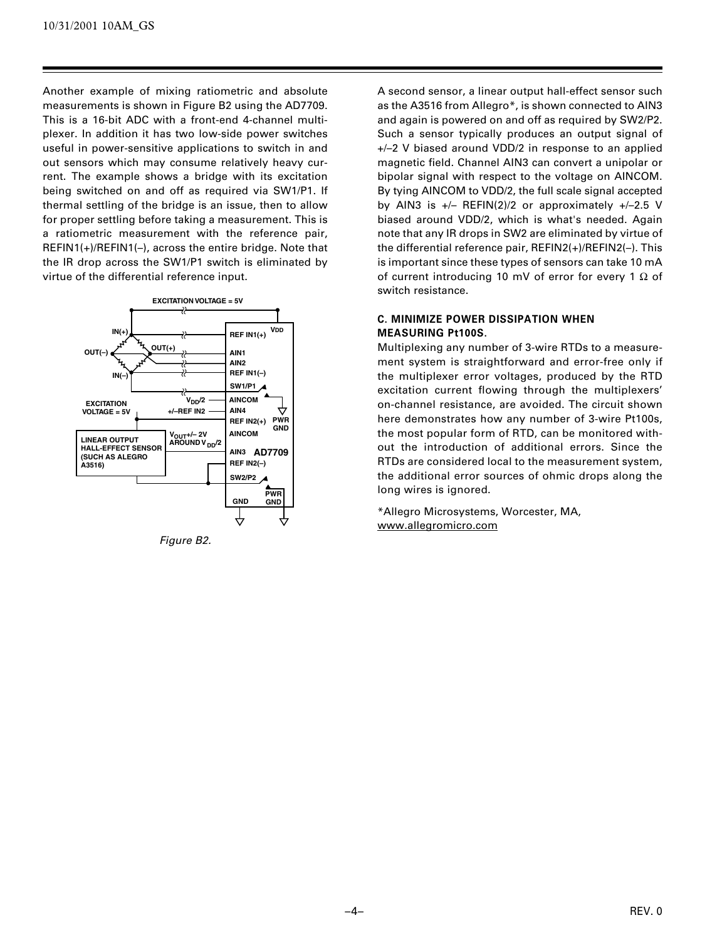Another example of mixing ratiometric and absolute measurements is shown in Figure B2 using the AD7709. This is a 16-bit ADC with a front-end 4-channel multiplexer. In addition it has two low-side power switches useful in power-sensitive applications to switch in and out sensors which may consume relatively heavy current. The example shows a bridge with its excitation being switched on and off as required via SW1/P1. If thermal settling of the bridge is an issue, then to allow for proper settling before taking a measurement. This is a ratiometric measurement with the reference pair, REFIN1(+)/REFIN1(–), across the entire bridge. Note that the IR drop across the SW1/P1 switch is eliminated by virtue of the differential reference input.



Figure B2.

A second sensor, a linear output hall-effect sensor such as the A3516 from Allegro\*, is shown connected to AIN3 and again is powered on and off as required by SW2/P2. Such a sensor typically produces an output signal of +/–2 V biased around VDD/2 in response to an applied magnetic field. Channel AIN3 can convert a unipolar or bipolar signal with respect to the voltage on AINCOM. By tying AINCOM to VDD/2, the full scale signal accepted by AIN3 is  $+/-$  REFIN(2)/2 or approximately  $+/-2.5$  V biased around VDD/2, which is what's needed. Again note that any IR drops in SW2 are eliminated by virtue of the differential reference pair, REFIN2(+)/REFIN2(–). This is important since these types of sensors can take 10 mA of current introducing 10 mV of error for every 1  $\Omega$  of switch resistance.

# **C. MINIMIZE POWER DISSIPATION WHEN MEASURING Pt100S.**

Multiplexing any number of 3-wire RTDs to a measurement system is straightforward and error-free only if the multiplexer error voltages, produced by the RTD excitation current flowing through the multiplexers' on-channel resistance, are avoided. The circuit shown here demonstrates how any number of 3-wire Pt100s, the most popular form of RTD, can be monitored without the introduction of additional errors. Since the RTDs are considered local to the measurement system, the additional error sources of ohmic drops along the long wires is ignored.

\*Allegro Microsystems, Worcester, MA, www.allegromicro.com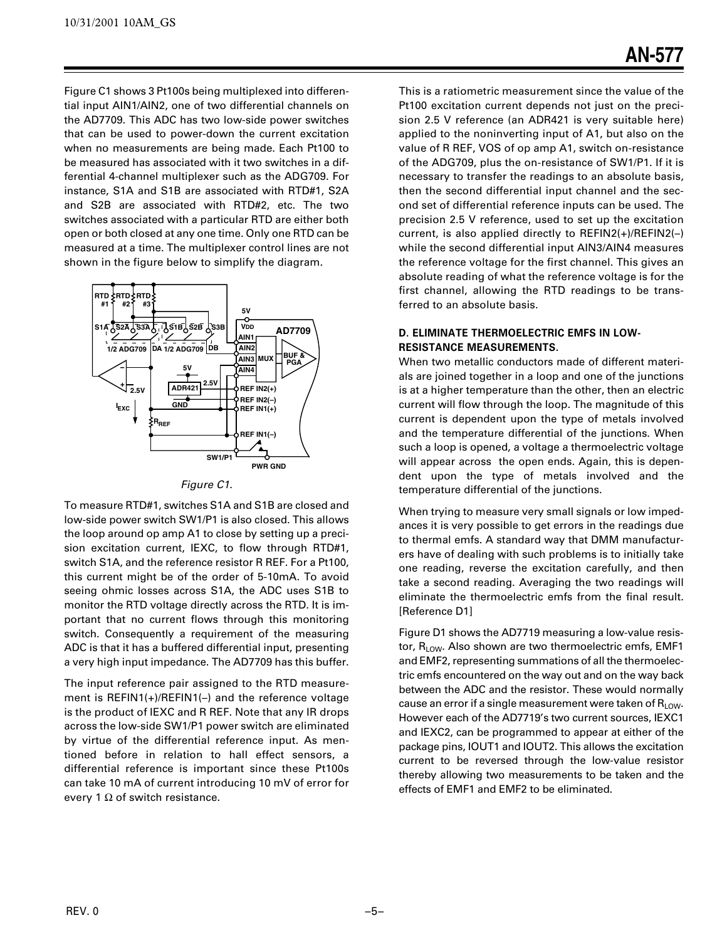Figure C1 shows 3 Pt100s being multiplexed into differential input AIN1/AIN2, one of two differential channels on the AD7709. This ADC has two low-side power switches that can be used to power-down the current excitation when no measurements are being made. Each Pt100 to be measured has associated with it two switches in a differential 4-channel multiplexer such as the ADG709. For instance, S1A and S1B are associated with RTD#1, S2A and S2B are associated with RTD#2, etc. The two switches associated with a particular RTD are either both open or both closed at any one time. Only one RTD can be measured at a time. The multiplexer control lines are not shown in the figure below to simplify the diagram.



### Figure C1.

To measure RTD#1, switches S1A and S1B are closed and low-side power switch SW1/P1 is also closed. This allows the loop around op amp A1 to close by setting up a precision excitation current, IEXC, to flow through RTD#1, switch S1A, and the reference resistor R REF. For a Pt100, this current might be of the order of 5-10mA. To avoid seeing ohmic losses across S1A, the ADC uses S1B to monitor the RTD voltage directly across the RTD. It is important that no current flows through this monitoring switch. Consequently a requirement of the measuring ADC is that it has a buffered differential input, presenting a very high input impedance. The AD7709 has this buffer.

The input reference pair assigned to the RTD measurement is REFIN1(+)/REFIN1(–) and the reference voltage is the product of IEXC and R REF. Note that any IR drops across the low-side SW1/P1 power switch are eliminated by virtue of the differential reference input. As mentioned before in relation to hall effect sensors, a differential reference is important since these Pt100s can take 10 mA of current introducing 10 mV of error for every 1  $\Omega$  of switch resistance.

This is a ratiometric measurement since the value of the Pt100 excitation current depends not just on the precision 2.5 V reference (an ADR421 is very suitable here) applied to the noninverting input of A1, but also on the value of R REF, VOS of op amp A1, switch on-resistance of the ADG709, plus the on-resistance of SW1/P1. If it is necessary to transfer the readings to an absolute basis, then the second differential input channel and the second set of differential reference inputs can be used. The precision 2.5 V reference, used to set up the excitation current, is also applied directly to REFIN2(+)/REFIN2(–) while the second differential input AIN3/AIN4 measures the reference voltage for the first channel. This gives an absolute reading of what the reference voltage is for the first channel, allowing the RTD readings to be transferred to an absolute basis.

# **D. ELIMINATE THERMOELECTRIC EMFS IN LOW-RESISTANCE MEASUREMENTS.**

When two metallic conductors made of different materials are joined together in a loop and one of the junctions is at a higher temperature than the other, then an electric current will flow through the loop. The magnitude of this current is dependent upon the type of metals involved and the temperature differential of the junctions. When such a loop is opened, a voltage a thermoelectric voltage will appear across the open ends. Again, this is dependent upon the type of metals involved and the temperature differential of the junctions.

When trying to measure very small signals or low impedances it is very possible to get errors in the readings due to thermal emfs. A standard way that DMM manufacturers have of dealing with such problems is to initially take one reading, reverse the excitation carefully, and then take a second reading. Averaging the two readings will eliminate the thermoelectric emfs from the final result. [Reference D1]

Figure D1 shows the AD7719 measuring a low-value resistor,  $R_{LOW}$ . Also shown are two thermoelectric emfs, EMF1 and EMF2, representing summations of all the thermoelectric emfs encountered on the way out and on the way back between the ADC and the resistor. These would normally cause an error if a single measurement were taken of  $R_{LOW}$ . However each of the AD7719's two current sources, IEXC1 and IEXC2, can be programmed to appear at either of the package pins, IOUT1 and IOUT2. This allows the excitation current to be reversed through the low-value resistor thereby allowing two measurements to be taken and the effects of EMF1 and EMF2 to be eliminated.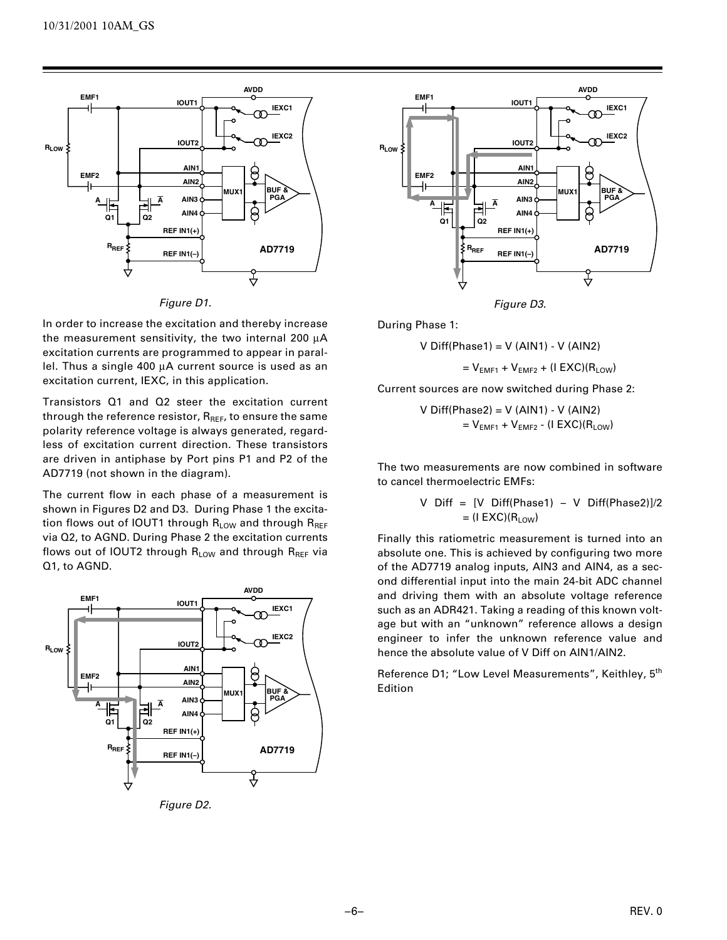

Figure D1.

In order to increase the excitation and thereby increase the measurement sensitivity, the two internal 200 µA excitation currents are programmed to appear in parallel. Thus a single 400 µA current source is used as an excitation current, IEXC, in this application.

Transistors Q1 and Q2 steer the excitation current through the reference resistor,  $R_{REF}$ , to ensure the same polarity reference voltage is always generated, regardless of excitation current direction. These transistors are driven in antiphase by Port pins P1 and P2 of the AD7719 (not shown in the diagram).

The current flow in each phase of a measurement is shown in Figures D2 and D3. During Phase 1 the excitation flows out of IOUT1 through  $R_{LOW}$  and through  $R_{REF}$ via Q2, to AGND. During Phase 2 the excitation currents flows out of IOUT2 through  $R_{LOW}$  and through  $R_{REF}$  via Q1, to AGND.



Figure D2.



Figure D3.

During Phase 1:

$$
V\text{ Diff(Phase1)} = V\text{ (AIN1)} - V\text{ (AIN2)}
$$

 $= V_{EME1} + V_{EME2} + (I EXC)(R_{LOW})$ 

Current sources are now switched during Phase 2:

V Diff(Phase2) = V (AIN1) - V (AIN2)  $= V<sub>EMF1</sub> + V<sub>EMF2</sub> - (I EXC)(R<sub>LOW</sub>)$ 

The two measurements are now combined in software to cancel thermoelectric EMFs:

V Diff = [V Diff(Phase1) – V Diff(Phase2)]/2 = (I EXC)(RLOW)

Finally this ratiometric measurement is turned into an absolute one. This is achieved by configuring two more of the AD7719 analog inputs, AIN3 and AIN4, as a second differential input into the main 24-bit ADC channel and driving them with an absolute voltage reference such as an ADR421. Taking a reading of this known voltage but with an "unknown" reference allows a design engineer to infer the unknown reference value and hence the absolute value of V Diff on AIN1/AIN2.

Reference D1; "Low Level Measurements", Keithley, 5<sup>th</sup> Edition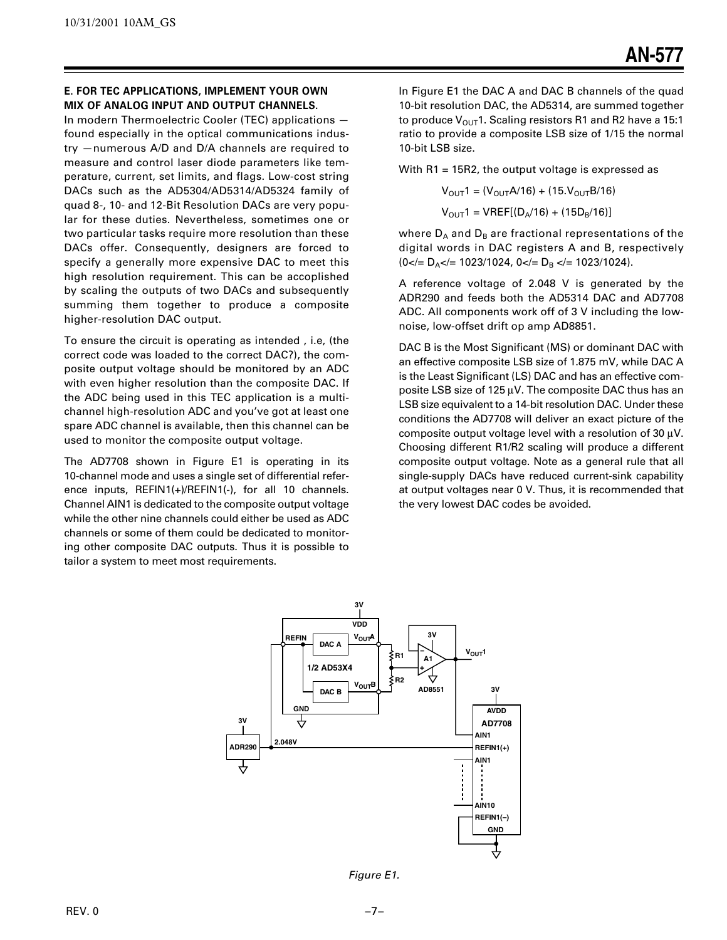# **E. FOR TEC APPLICATIONS, IMPLEMENT YOUR OWN MIX OF ANALOG INPUT AND OUTPUT CHANNELS.**

In modern Thermoelectric Cooler (TEC) applications found especially in the optical communications industry —numerous A/D and D/A channels are required to measure and control laser diode parameters like temperature, current, set limits, and flags. Low-cost string DACs such as the AD5304/AD5314/AD5324 family of quad 8-, 10- and 12-Bit Resolution DACs are very popular for these duties. Nevertheless, sometimes one or two particular tasks require more resolution than these DACs offer. Consequently, designers are forced to specify a generally more expensive DAC to meet this high resolution requirement. This can be accoplished by scaling the outputs of two DACs and subsequently summing them together to produce a composite higher-resolution DAC output.

To ensure the circuit is operating as intended , i.e, (the correct code was loaded to the correct DAC?), the composite output voltage should be monitored by an ADC with even higher resolution than the composite DAC. If the ADC being used in this TEC application is a multichannel high-resolution ADC and you've got at least one spare ADC channel is available, then this channel can be used to monitor the composite output voltage.

The AD7708 shown in Figure E1 is operating in its 10-channel mode and uses a single set of differential reference inputs, REFIN1(+)/REFIN1(-), for all 10 channels. Channel AIN1 is dedicated to the composite output voltage while the other nine channels could either be used as ADC channels or some of them could be dedicated to monitoring other composite DAC outputs. Thus it is possible to tailor a system to meet most requirements.

In Figure E1 the DAC A and DAC B channels of the quad 10-bit resolution DAC, the AD5314, are summed together to produce  $V_{\text{OUT}}$ 1. Scaling resistors R1 and R2 have a 15:1 ratio to provide a composite LSB size of 1/15 the normal 10-bit LSB size.

With R1 = 15R2, the output voltage is expressed as

 $V_{\text{OUT}}$ 1 = ( $V_{\text{OUT}}$ A/16) + (15. $V_{\text{OUT}}$ B/16)  $V_{\text{OUT}}$ 1 = VREF[(D<sub>A</sub>/16) + (15D<sub>B</sub>/16)]

where  $D_A$  and  $D_B$  are fractional representations of the digital words in DAC registers A and B, respectively  $(0<|E|)$  =  $D_A$  = 1023/1024, 0 =  $D_B$  =  $(1023/1024)$ .

A reference voltage of 2.048 V is generated by the ADR290 and feeds both the AD5314 DAC and AD7708 ADC. All components work off of 3 V including the lownoise, low-offset drift op amp AD8851.

DAC B is the Most Significant (MS) or dominant DAC with an effective composite LSB size of 1.875 mV, while DAC A is the Least Significant (LS) DAC and has an effective composite LSB size of 125 µV. The composite DAC thus has an LSB size equivalent to a 14-bit resolution DAC. Under these conditions the AD7708 will deliver an exact picture of the composite output voltage level with a resolution of 30  $\mu$ V. Choosing different R1/R2 scaling will produce a different composite output voltage. Note as a general rule that all single-supply DACs have reduced current-sink capability at output voltages near 0 V. Thus, it is recommended that the very lowest DAC codes be avoided.



Figure E1.